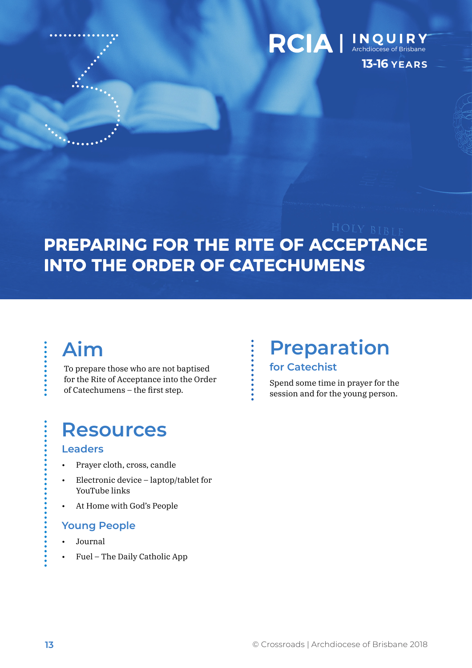

### RCIA | INQUIRY **13-16 YEARS**

## PREPARING FOR THE RITE OF ACCEPTANCE **INTO THE ORDER OF CATECHUMENS**

## **Aim**

To prepare those who are not baptised for the Rite of Acceptance into the Order of Catechumens – the first step.

## **Resources**

### **Leaders**

- Prayer cloth, cross, candle
- Electronic device laptop/tablet for YouTube links
- At Home with God's People

### **Young People**

- Journal
- Fuel The Daily Catholic App

## **Preparation for Catechist**

Spend some time in prayer for the session and for the young person.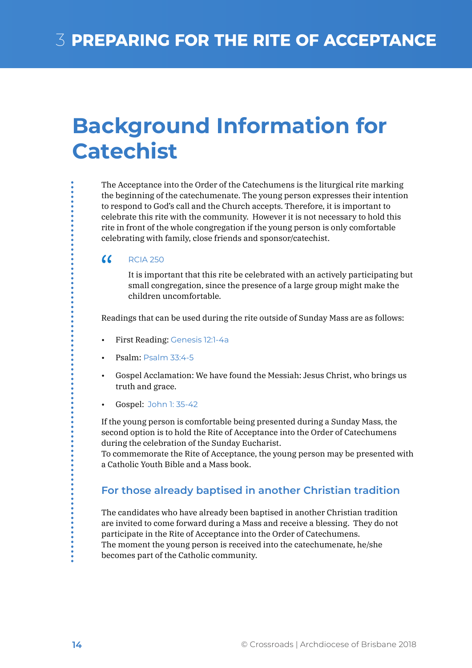## **Background Information for Catechist**

The Acceptance into the Order of the Catechumens is the liturgical rite marking the beginning of the catechumenate. The young person expresses their intention to respond to God's call and the Church accepts. Therefore, it is important to celebrate this rite with the community. However it is not necessary to hold this rite in front of the whole congregation if the young person is only comfortable celebrating with family, close friends and sponsor/catechist.

#### $\alpha$ RCIA 250

It is important that this rite be celebrated with an actively participating but small congregation, since the presence of a large group might make the children uncomfortable.

Readings that can be used during the rite outside of Sunday Mass are as follows:

- First Reading: Genesis 12:1-4a
- Psalm: Psalm 33:4-5
- Gospel Acclamation: We have found the Messiah: Jesus Christ, who brings us truth and grace.
- Gospel: John 1: 35-42

If the young person is comfortable being presented during a Sunday Mass, the second option is to hold the Rite of Acceptance into the Order of Catechumens during the celebration of the Sunday Eucharist.

To commemorate the Rite of Acceptance, the young person may be presented with a Catholic Youth Bible and a Mass book.

### **For those already baptised in another Christian tradition**

The candidates who have already been baptised in another Christian tradition are invited to come forward during a Mass and receive a blessing. They do not participate in the Rite of Acceptance into the Order of Catechumens. The moment the young person is received into the catechumenate, he/she becomes part of the Catholic community.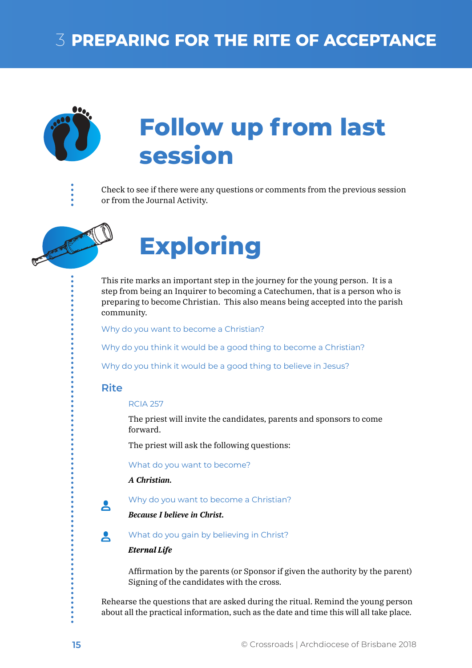## **3 PREPARING FOR THE RITE OF ACCEPTANCE**



# **Follow up from last session**

Check to see if there were any questions or comments from the previous session or from the Journal Activity.



# **Exploring**

This rite marks an important step in the journey for the young person. It is a step from being an Inquirer to becoming a Catechumen, that is a person who is preparing to become Christian. This also means being accepted into the parish community.

Why do you want to become a Christian?

Why do you think it would be a good thing to become a Christian?

Why do you think it would be a good thing to believe in Jesus?

### **Rite**

RCIA 257

The priest will invite the candidates, parents and sponsors to come forward.

The priest will ask the following questions:

What do you want to become?

*A Christian.*

Why do you want to become a Christian?

*Because I believe in Christ.*

What do you gain by believing in Christ? 읏

#### *Eternal Life*

Affirmation by the parents (or Sponsor if given the authority by the parent) Signing of the candidates with the cross.

Rehearse the questions that are asked during the ritual. Remind the young person about all the practical information, such as the date and time this will all take place.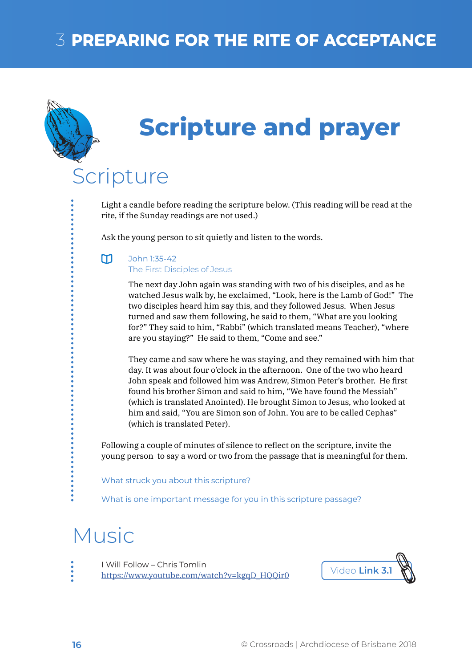## **3 PREPARING FOR THE RITE OF ACCEPTANCE**



## **Scripture and prayer**

## Scripture

Light a candle before reading the scripture below. (This reading will be read at the rite, if the Sunday readings are not used.)

Ask the young person to sit quietly and listen to the words.

#### $m$ John 1:35-42

The First Disciples of Jesus

The next day John again was standing with two of his disciples, and as he watched Jesus walk by, he exclaimed, "Look, here is the Lamb of God!" The two disciples heard him say this, and they followed Jesus. When Jesus turned and saw them following, he said to them, "What are you looking for?" They said to him, "Rabbi" (which translated means Teacher), "where are you staying?" He said to them, "Come and see."

They came and saw where he was staying, and they remained with him that day. It was about four o'clock in the afternoon. One of the two who heard John speak and followed him was Andrew, Simon Peter's brother. He first found his brother Simon and said to him, "We have found the Messiah" (which is translated Anointed). He brought Simon to Jesus, who looked at him and said, "You are Simon son of John. You are to be called Cephas" (which is translated Peter).

Following a couple of minutes of silence to reflect on the scripture, invite the young person to say a word or two from the passage that is meaningful for them.

What struck you about this scripture?

What is one important message for you in this scripture passage?

## Music

I Will Follow – Chris Tomlin https://www.youtube.com/watch?v=kgqD\_HQQir0 Video **Link 3.1**